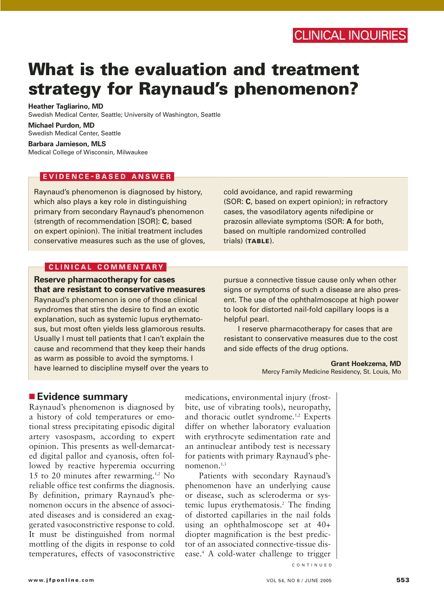# **What is the evaluation and treatment strategy for Raynaud's phenomenon?**

**Heather Tagliarino, MD** Swedish Medical Center, Seattle; University of Washington, Seattle

**Michael Purdon, MD** Swedish Medical Center, Seattle

**Barbara Jamieson, MLS** Medical College of Wisconsin, Milwaukee

## **EVIDENCE - BASED ANSWER**

Raynaud's phenomenon is diagnosed by history, which also plays a key role in distinguishing primary from secondary Raynaud's phenomenon (strength of recommendation [SOR]: **C**, based on expert opinion). The initial treatment includes conservative measures such as the use of gloves, cold avoidance, and rapid rewarming (SOR: **C**, based on expert opinion); in refractory cases, the vasodilatory agents nifedipine or prazosin alleviate symptoms (SOR: **A** for both, based on multiple randomized controlled trials) (**TABLE**).

## **CLINICAL COMMENTARY**

**Reserve pharmacotherapy for cases that are resistant to conservative measures**

Raynaud's phenomenon is one of those clinical syndromes that stirs the desire to find an exotic explanation, such as systemic lupus erythematosus, but most often yields less glamorous results. Usually I must tell patients that I can't explain the cause and recommend that they keep their hands as warm as possible to avoid the symptoms. I have learned to discipline myself over the years to pursue a connective tissue cause only when other signs or symptoms of such a disease are also present. The use of the ophthalmoscope at high power to look for distorted nail-fold capillary loops is a helpful pearl.

I reserve pharmacotherapy for cases that are resistant to conservative measures due to the cost and side effects of the drug options.

> **Grant Hoekzema, MD** Mercy Family Medicine Residency, St. Louis, Mo

# ■ **Evidence summary**

Raynaud's phenomenon is diagnosed by a history of cold temperatures or emotional stress precipitating episodic digital artery vasospasm, according to expert opinion. This presents as well-demarcated digital pallor and cyanosis, often followed by reactive hyperemia occurring 15 to 20 minutes after rewarming.<sup>1,2</sup> No reliable office test confirms the diagnosis. By definition, primary Raynaud's phenomenon occurs in the absence of associated diseases and is considered an exaggerated vasoconstrictive response to cold. It must be distinguished from normal mottling of the digits in response to cold temperatures, effects of vasoconstrictive

medications, environmental injury (frostbite, use of vibrating tools), neuropathy, and thoracic outlet syndrome.<sup>1,2</sup> Experts differ on whether laboratory evaluation with erythrocyte sedimentation rate and an antinuclear antibody test is necessary for patients with primary Raynaud's phenomenon. $1,3$ 

Patients with secondary Raynaud's phenomenon have an underlying cause or disease, such as scleroderma or systemic lupus erythematosis.2 The finding of distorted capillaries in the nail folds using an ophthalmoscope set at 40+ diopter magnification is the best predictor of an associated connective-tissue disease.4 A cold-water challenge to trigger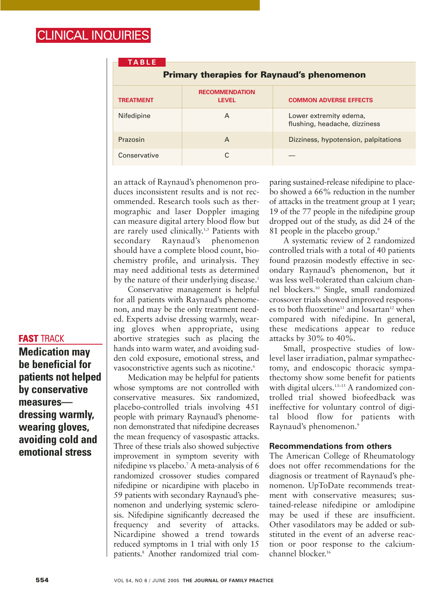| <b>TABLE</b>                                      |                                       |                                                         |
|---------------------------------------------------|---------------------------------------|---------------------------------------------------------|
| <b>Primary therapies for Raynaud's phenomenon</b> |                                       |                                                         |
| <b>TREATMENT</b>                                  | <b>RECOMMENDATION</b><br><b>LEVEL</b> | <b>COMMON ADVERSE EFFECTS</b>                           |
| Nifedipine                                        | A                                     | Lower extremity edema,<br>flushing, headache, dizziness |
| Prazosin                                          | A                                     | Dizziness, hypotension, palpitations                    |
| Conservative                                      | C                                     |                                                         |

an attack of Raynaud's phenomenon produces inconsistent results and is not recommended. Research tools such as thermographic and laser Doppler imaging can measure digital artery blood flow but are rarely used clinically.<sup>1,5</sup> Patients with secondary Raynaud's phenomenon should have a complete blood count, biochemistry profile, and urinalysis. They may need additional tests as determined by the nature of their underlying disease.<sup>1</sup>

Conservative management is helpful for all patients with Raynaud's phenomenon, and may be the only treatment needed. Experts advise dressing warmly, wearing gloves when appropriate, using abortive strategies such as placing the hands into warm water, and avoiding sudden cold exposure, emotional stress, and vasoconstrictive agents such as nicotine.<sup>6</sup>

Medication may be helpful for patients whose symptoms are not controlled with conservative measures. Six randomized, placebo-controlled trials involving 451 people with primary Raynaud's phenomenon demonstrated that nifedipine decreases the mean frequency of vasospastic attacks. Three of these trials also showed subjective improvement in symptom severity with nifedipine vs placebo.7 A meta-analysis of 6 randomized crossover studies compared nifedipine or nicardipine with placebo in 59 patients with secondary Raynaud's phenomenon and underlying systemic sclerosis. Nifedipine significantly decreased the frequency and severity of attacks. Nicardipine showed a trend towards reduced symptoms in 1 trial with only 15 patients.8 Another randomized trial comparing sustained-release nifedipine to placebo showed a 66% reduction in the number of attacks in the treatment group at 1 year; 19 of the 77 people in the nifedipine group dropped out of the study, as did 24 of the 81 people in the placebo group.<sup>9</sup>

A systematic review of 2 randomized controlled trials with a total of 40 patients found prazosin modestly effective in secondary Raynaud's phenomenon, but it was less well-tolerated than calcium channel blockers.10 Single, small randomized crossover trials showed improved responses to both fluoxetine<sup>11</sup> and losartan<sup>12</sup> when compared with nifedipine. In general, these medications appear to reduce attacks by 30% to 40%.

Small, prospective studies of lowlevel laser irradiation, palmar sympathectomy, and endoscopic thoracic sympathectomy show some benefit for patients with digital ulcers.<sup>13-15</sup> A randomized controlled trial showed biofeedback was ineffective for voluntary control of digital blood flow for patients with Raynaud's phenomenon.9

## **Recommendations from others**

The American College of Rheumatology does not offer recommendations for the diagnosis or treatment of Raynaud's phenomenon. UpToDate recommends treatment with conservative measures; sustained-release nifedipine or amlodipine may be used if these are insufficient. Other vasodilators may be added or substituted in the event of an adverse reaction or poor response to the calciumchannel blocker.16

## **FAST** TRACK

**Medication may be beneficial for patients not helped by conservative measures dressing warmly, wearing gloves, avoiding cold and emotional stress**